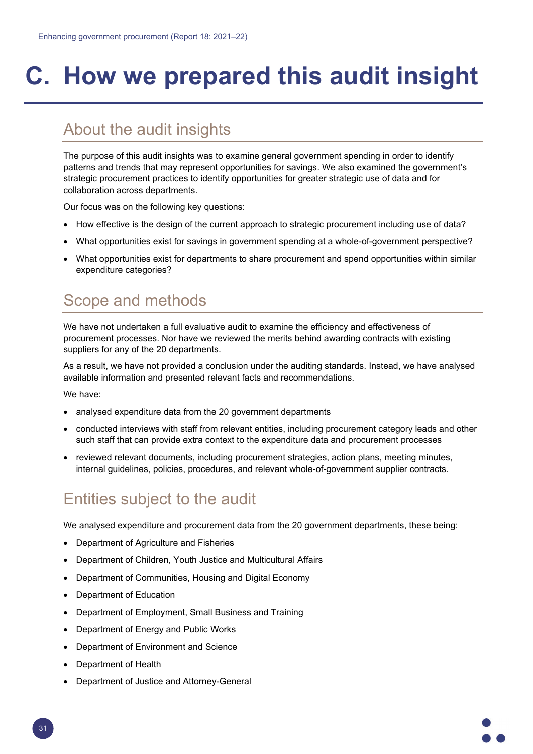## **C. How we prepared this audit insight**

## About the audit insights

The purpose of this audit insights was to examine general government spending in order to identify patterns and trends that may represent opportunities for savings. We also examined the government's strategic procurement practices to identify opportunities for greater strategic use of data and for collaboration across departments.

Our focus was on the following key questions:

- How effective is the design of the current approach to strategic procurement including use of data?
- What opportunities exist for savings in government spending at a whole-of-government perspective?
- What opportunities exist for departments to share procurement and spend opportunities within similar expenditure categories?

## Scope and methods

We have not undertaken a full evaluative audit to examine the efficiency and effectiveness of procurement processes. Nor have we reviewed the merits behind awarding contracts with existing suppliers for any of the 20 departments.

As a result, we have not provided a conclusion under the auditing standards. Instead, we have analysed available information and presented relevant facts and recommendations.

We have:

- analysed expenditure data from the 20 government departments
- conducted interviews with staff from relevant entities, including procurement category leads and other such staff that can provide extra context to the expenditure data and procurement processes
- reviewed relevant documents, including procurement strategies, action plans, meeting minutes, internal guidelines, policies, procedures, and relevant whole-of-government supplier contracts.

## Entities subject to the audit

We analysed expenditure and procurement data from the 20 government departments, these being:

- Department of Agriculture and Fisheries
- Department of Children, Youth Justice and Multicultural Affairs
- Department of Communities, Housing and Digital Economy
- Department of Education
- Department of Employment, Small Business and Training
- Department of Energy and Public Works
- Department of Environment and Science
- Department of Health
- Department of Justice and Attorney-General